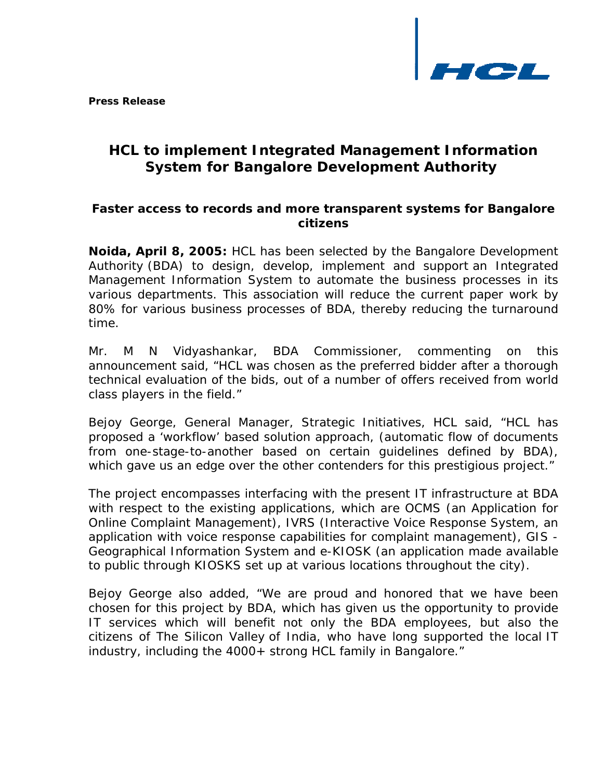

**Press Release** 

# *HCL to implement Integrated Management Information System for Bangalore Development Authority*

## *Faster access to records and more transparent systems for Bangalore citizens*

**Noida, April 8, 2005:** HCL has been selected by the Bangalore Development Authority (BDA) to design, develop, implement and support an Integrated Management Information System to automate the business processes in its various departments. This association will reduce the current paper work by 80% for various business processes of BDA, thereby reducing the turnaround time.

Mr. M N Vidyashankar, BDA Commissioner, commenting on this announcement said, "HCL was chosen as the preferred bidder after a thorough technical evaluation of the bids, out of a number of offers received from world class players in the field."

Bejoy George, General Manager, Strategic Initiatives, HCL said, "HCL has proposed a 'workflow' based solution approach, (automatic flow of documents from one-stage-to-another based on certain guidelines defined by BDA), which gave us an edge over the other contenders for this prestigious project."

The project encompasses interfacing with the present IT infrastructure at BDA with respect to the existing applications, which are OCMS (an Application for Online Complaint Management), IVRS (Interactive Voice Response System, an application with voice response capabilities for complaint management), GIS - Geographical Information System and e-KIOSK (an application made available to public through KIOSKS set up at various locations throughout the city).

Bejoy George also added, "We are proud and honored that we have been chosen for this project by BDA, which has given us the opportunity to provide IT services which will benefit not only the BDA employees, but also the citizens of The Silicon Valley of India, who have long supported the local IT industry, including the 4000+ strong HCL family in Bangalore."